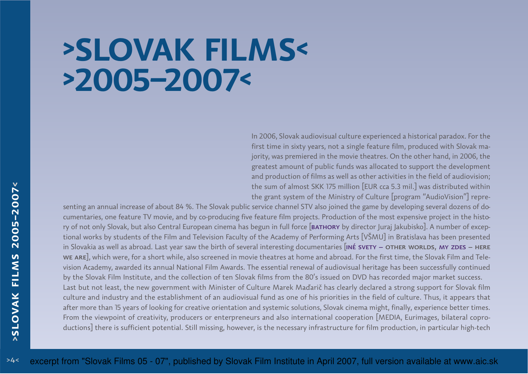## **>SLOVAK FILMS<>2005–2007<**

In 2006, Slovak audiovisual culture experienced a historical paradox. For the first time in sixty years, not a single feature film, produced with Slovak majority, was premiered in the movie theatres. On the other hand, in 2006, the greatest amount of public funds was allocated to support the developmentand production of films as well as other activities in the field of audiovision;the sum of almost SKK 175 million [EUR cca 5.3 mil.] was distributed withinthe grant system of the Ministry of Culture [program "AudioVision"] repre-

senting an annual increase of about 84 %. The Slovak public service channel STV also joined the game by developing several dozens of documentaries, one feature TV movie, and by co-producing five feature film projects. Production of the most expensive project in the history of not only Slovak, but also Central European cinema has begun in full force <mark>[ватновү</mark> by director Juraj Jakubisko]. A number of exceptional works by students of the Film and Television Faculty of the Academy of Performing Arts [VŠMU] in Bratislava has been presentedin Slovakia as well as abroad. Last year saw the birth of several interesting documentaries [<mark>INÉ SVETY – OTHER WORLDS, MY ZDES</mark> – <mark>HERE</mark> we are], which were, for a short while, also screened in movie theatres at home and abroad. For the first time, the Slovak Film and Television Academy, awarded its annual National Film Awards. The essential renewal of audiovisual heritage has been successfully continuedby the Slovak Film Institute, and the collection of ten Slovak films from the 80's issued on DVD has recorded major market success. Last but not least, the new government with Minister of Culture Marek Maďarič has clearly declared a strong support for Slovak film culture and industry and the establishment of an audiovisual fund as one of his priorities in the field of culture. Thus, it appears that after more than 15 years of looking for creative orientation and systemic solutions, Slovak cinema might, finally, experience better times.From the viewpoint of creativity, producers or enterpreneurs and also international cooperation [MEDIA, Eurimages, bilateral coproductions] there is sufficient potential. Still missing, however, is the necessary infrastructure for film production, in particular high-tech